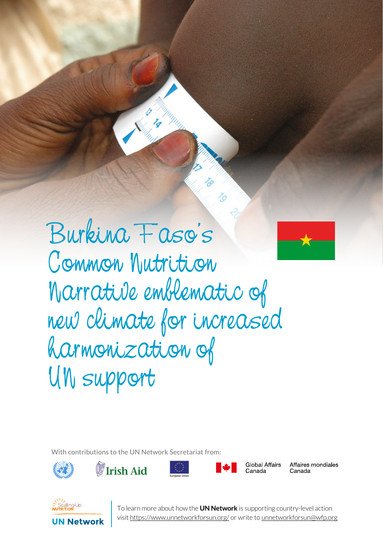Burkina Faso's Common Nutrition Narrative emblematic of new climate for increased harmonization of UN support

SERIES 1 UN NETWORK TALES 1 UN NETWORK

With contributions to the UN Network Secretariat from:









**Global Affairs** Canada

Affaires mondiales Canada



**1** To learn more about how the **UN Network** is supporting country-level action visit https://www.unnetworkforsun.org/ or write to unnetworkforsun@wfp.org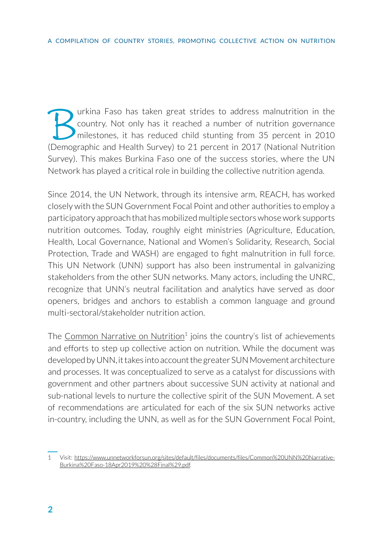Furkina Faso has taken great strides to address malnutrition in the country. Not only has it reached a number of nutrition governance milestones, it has reduced child stunting from 35 percent in 2010 country. Not only has it reached a number of nutrition governance milestones, it has reduced child stunting from 35 percent in 2010 (Demographic and Health Survey) to 21 percent in 2017 (National Nutrition Survey). This makes Burkina Faso one of the success stories, where the UN Network has played a critical role in building the collective nutrition agenda.

Since 2014, the UN Network, through its intensive arm, REACH, has worked closely with the SUN Government Focal Point and other authorities to employ a participatory approach that has mobilized multiple sectors whose work supports nutrition outcomes. Today, roughly eight ministries (Agriculture, Education, Health, Local Governance, National and Women's Solidarity, Research, Social Protection, Trade and WASH) are engaged to fight malnutrition in full force. This UN Network (UNN) support has also been instrumental in galvanizing stakeholders from the other SUN networks. Many actors, including the UNRC, recognize that UNN's neutral facilitation and analytics have served as door openers, bridges and anchors to establish a common language and ground multi-sectoral/stakeholder nutrition action.

The Common Narrative on Nutrition<sup>1</sup> joins the country's list of achievements and efforts to step up collective action on nutrition. While the document was developed by UNN, it takes into account the greater SUN Movement architecture and processes. It was conceptualized to serve as a catalyst for discussions with government and other partners about successive SUN activity at national and sub-national levels to nurture the collective spirit of the SUN Movement. A set of recommendations are articulated for each of the six SUN networks active in-country, including the UNN, as well as for the SUN Government Focal Point,

<sup>1</sup> Visit: [https://www.unnetworkforsun.org/sites/default/files/documents/files/Common%20UNN%20Narrative-](https://www.unnetworkforsun.org/sites/default/files/documents/files/Common%20UNN%20Narrative-Burkina%20Faso-18Apr2019%20%28Final%29.pdf)[Burkina%20Faso-18Apr2019%20%28Final%29.pdf](https://www.unnetworkforsun.org/sites/default/files/documents/files/Common%20UNN%20Narrative-Burkina%20Faso-18Apr2019%20%28Final%29.pdf).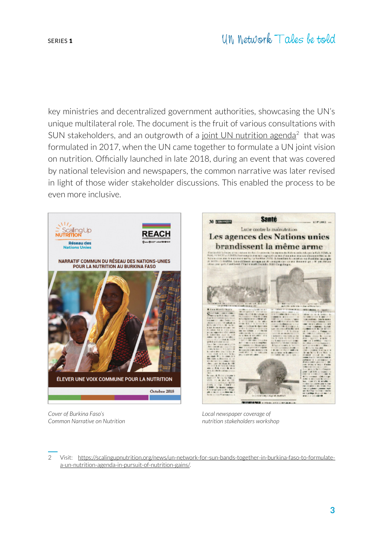key ministries and decentralized government authorities, showcasing the UN's unique multilateral role. The document is the fruit of various consultations with SUN stakeholders, and an outgrowth of a [joint UN nutrition agenda](https://scalingupnutrition.org/news/un-network-for-sun-bands-together-in-burkina-faso-to-formulate-a-un-nutrition-agenda-in-pursuit-of-nutrition-gains/)<sup>2</sup> that was formulated in 2017, when the UN came together to formulate a UN joint vision on nutrition. Officially launched in late 2018, during an event that was covered by national television and newspapers, the common narrative was later revised in light of those wider stakeholder discussions. This enabled the process to be even more inclusive.

30 No. 2004



Les agences des Nations unies brandissent la même arme

**BENNING AND ARRAIGN** 

**Santé** 

Lutte contre la malnutrition

*Local newspaper coverage of nutrition stakeholders workshop*

*Cover of Burkina Faso's Common Narrative on Nutrition*

2 Visit: [https://scalingupnutrition.org/news/un-network-for-sun-bands-together-in-burkina-faso-to-formulate](https://scalingupnutrition.org/news/un-network-for-sun-bands-together-in-burkina-faso-to-formulate-a-un-nutrition-agenda-in-pursuit-of-nutrition-gains/)[a-un-nutrition-agenda-in-pursuit-of-nutrition-gains/.](https://scalingupnutrition.org/news/un-network-for-sun-bands-together-in-burkina-faso-to-formulate-a-un-nutrition-agenda-in-pursuit-of-nutrition-gains/)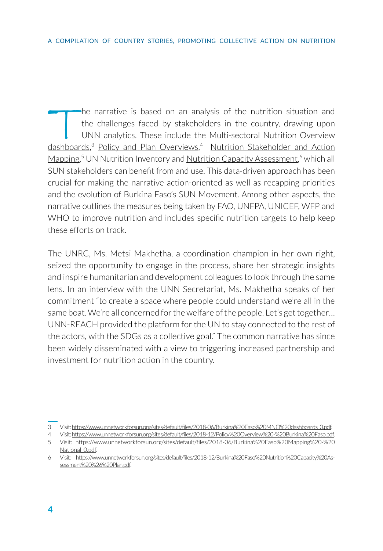The narrative is based on an analysis of the nutrition situation and<br>the challenges faced by stakeholders in the country, drawing upon<br>UNN analytics. These include the <u>Multi-sectoral Nutrition Overview</u><br>dashboards<sup>3</sup> Poli the challenges faced by stakeholders in the country, drawing upon UNN analytics. These include the Multi-sectoral Nutrition Overview [dashboards](https://www.unnetworkforsun.org/sites/default/files/2018-06/Burkina%20Faso%20MNO%20dashboards_0.pdf),<sup>3</sup> [Policy and Plan Overviews,](https://www.unnetworkforsun.org/sites/default/files/2018-12/Policy%20Overview%20-%20Burkina%20Faso.pdf)<sup>4</sup> Nutrition Stakeholder and Action [Mapping](https://www.unnetworkforsun.org/sites/default/files/2018-06/Burkina%20Faso%20Mapping%20-%20National_0.pdf),<sup>5</sup> UN Nutrition Inventory and <u>Nutrition Capacity Assessment</u>,<sup>6</sup> which all SUN stakeholders can benefit from and use. This data-driven approach has been crucial for making the narrative action-oriented as well as recapping priorities and the evolution of Burkina Faso's SUN Movement. Among other aspects, the narrative outlines the measures being taken by FAO, UNFPA, UNICEF, WFP and WHO to improve nutrition and includes specific nutrition targets to help keep these efforts on track.

The UNRC, Ms. Metsi Makhetha, a coordination champion in her own right, seized the opportunity to engage in the process, share her strategic insights and inspire humanitarian and development colleagues to look through the same lens. In an interview with the UNN Secretariat, Ms. Makhetha speaks of her commitment "to create a space where people could understand we're all in the same boat. We're all concerned for the welfare of the people. Let's get together... UNN-REACH provided the platform for the UN to stay connected to the rest of the actors, with the SDGs as a collective goal." The common narrative has since been widely disseminated with a view to triggering increased partnership and investment for nutrition action in the country.

<sup>3</sup> Visit: [https://www.unnetworkforsun.org/sites/default/files/2018-06/Burkina%20Faso%20MNO%20dashboards\\_0.pdf](https://www.unnetworkforsun.org/sites/default/files/2018-06/Burkina%20Faso%20MNO%20dashboards_0.pdf).

<sup>4</sup> Visit:<https://www.unnetworkforsun.org/sites/default/files/2018-12/Policy%20Overview%20-%20Burkina%20Faso.pdf>. 5 Visit: [https://www.unnetworkforsun.org/sites/default/files/2018-06/Burkina%20Faso%20Mapping%20-%20](https://www.unnetworkforsun.org/sites/default/files/2018-06/Burkina%20Faso%20Mapping%20-%20National_0.pdf)

[National\\_0.pdf.](https://www.unnetworkforsun.org/sites/default/files/2018-06/Burkina%20Faso%20Mapping%20-%20National_0.pdf) 6 Visit: [https://www.unnetworkforsun.org/sites/default/files/2018-12/Burkina%20Faso%20Nutrition%20Capacity%20As](https://www.unnetworkforsun.org/sites/default/files/2018-12/Burkina%20Faso%20Nutrition%20Capacity%20Assessment%20%26%20Plan.pdf)[sessment%20%26%20Plan.pdf](https://www.unnetworkforsun.org/sites/default/files/2018-12/Burkina%20Faso%20Nutrition%20Capacity%20Assessment%20%26%20Plan.pdf).